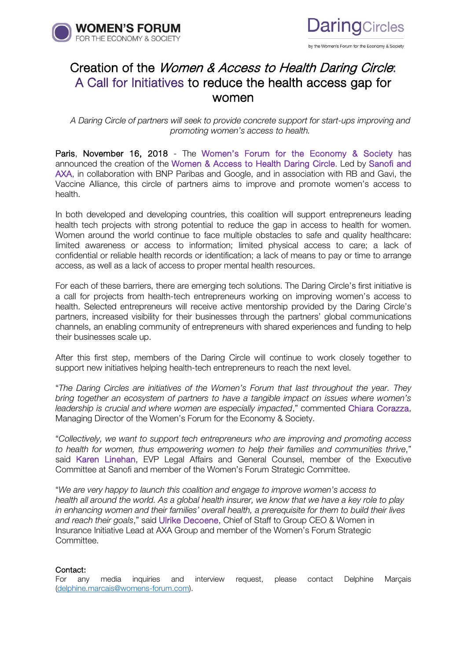



## Creation of the Women & Access to Health Daring Circle: A Call for Initiatives to reduce the health access gap for women

*A Daring Circle of partners will seek to provide concrete support for start-ups improving and promoting women's access to health.*

Paris, November 16, 2018 - The Women's Forum for the Economy & Society has announced the creation of the Women & Access to Health Daring Circle. Led by Sanofi and AXA, in collaboration with BNP Paribas and Google, and in association with RB and Gavi, the Vaccine Alliance, this circle of partners aims to improve and promote women's access to health.

In both developed and developing countries, this coalition will support entrepreneurs leading health tech projects with strong potential to reduce the gap in access to health for women. Women around the world continue to face multiple obstacles to safe and quality healthcare: limited awareness or access to information; limited physical access to care; a lack of confidential or reliable health records or identification; a lack of means to pay or time to arrange access, as well as a lack of access to proper mental health resources.

For each of these barriers, there are emerging tech solutions. The Daring Circle's first initiative is a call for projects from health-tech entrepreneurs working on improving women's access to health. Selected entrepreneurs will receive active mentorship provided by the Daring Circle's partners, increased visibility for their businesses through the partners' global communications channels, an enabling community of entrepreneurs with shared experiences and funding to help their businesses scale up.

After this first step, members of the Daring Circle will continue to work closely together to support new initiatives helping health-tech entrepreneurs to reach the next level.

"*The Daring Circles are initiatives of the Women's Forum that last throughout the year. They bring together an ecosystem of partners to have a tangible impact on issues where women's leadership is crucial and where women are especially impacted*," commented Chiara Corazza, Managing Director of the Women's Forum for the Economy & Society.

"*Collectively, we want to support tech entrepreneurs who are improving and promoting access to health for women, thus empowering women to help their families and communities thrive*," said Karen Linehan, EVP Legal Affairs and General Counsel, member of the Executive Committee at Sanofi and member of the Women's Forum Strategic Committee.

"*We are very happy to launch this coalition and engage to improve women's access to health all around the world. As a global health insurer, we know that we have a key role to play in enhancing women and their families' overall health, a prerequisite for them to build their lives and reach their goals*," said Ulrike Decoene, Chief of Staff to Group CEO & Women in Insurance Initiative Lead at AXA Group and member of the Women's Forum Strategic Committee.

## Contact:

For any media inquiries and interview request, please contact Delphine Marçais [\(delphine.marcais@womens-forum.com\).](mailto:delphine.marcais@womens-forum.com)